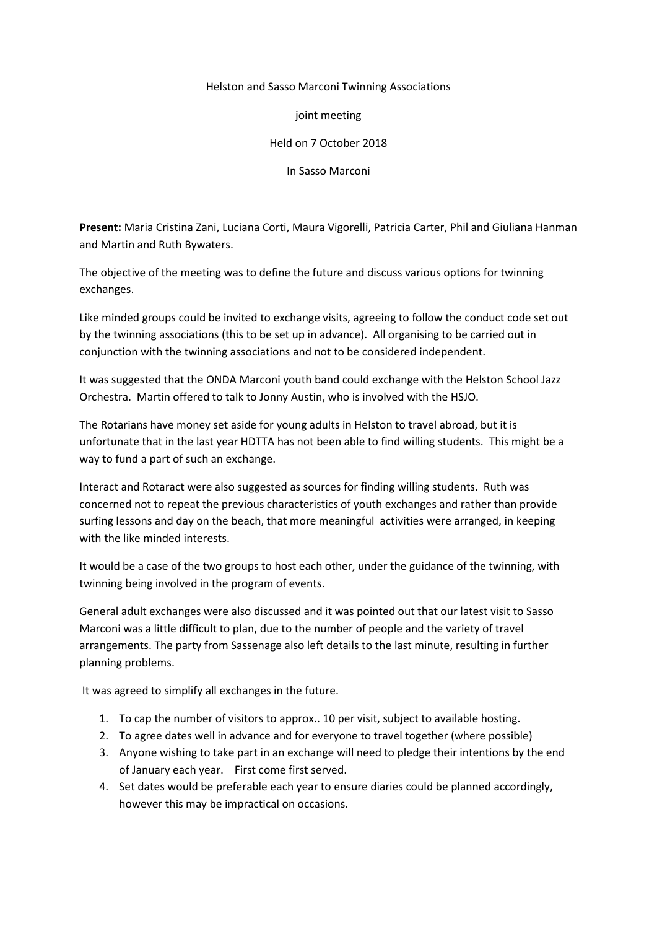## Helston and Sasso Marconi Twinning Associations

joint meeting

Held on 7 October 2018

In Sasso Marconi

**Present:** Maria Cristina Zani, Luciana Corti, Maura Vigorelli, Patricia Carter, Phil and Giuliana Hanman and Martin and Ruth Bywaters.

The objective of the meeting was to define the future and discuss various options for twinning exchanges.

Like minded groups could be invited to exchange visits, agreeing to follow the conduct code set out by the twinning associations (this to be set up in advance). All organising to be carried out in conjunction with the twinning associations and not to be considered independent.

It was suggested that the ONDA Marconi youth band could exchange with the Helston School Jazz Orchestra. Martin offered to talk to Jonny Austin, who is involved with the HSJO.

The Rotarians have money set aside for young adults in Helston to travel abroad, but it is unfortunate that in the last year HDTTA has not been able to find willing students. This might be a way to fund a part of such an exchange.

Interact and Rotaract were also suggested as sources for finding willing students. Ruth was concerned not to repeat the previous characteristics of youth exchanges and rather than provide surfing lessons and day on the beach, that more meaningful activities were arranged, in keeping with the like minded interests.

It would be a case of the two groups to host each other, under the guidance of the twinning, with twinning being involved in the program of events.

General adult exchanges were also discussed and it was pointed out that our latest visit to Sasso Marconi was a little difficult to plan, due to the number of people and the variety of travel arrangements. The party from Sassenage also left details to the last minute, resulting in further planning problems.

It was agreed to simplify all exchanges in the future.

- 1. To cap the number of visitors to approx.. 10 per visit, subject to available hosting.
- 2. To agree dates well in advance and for everyone to travel together (where possible)
- 3. Anyone wishing to take part in an exchange will need to pledge their intentions by the end of January each year. First come first served.
- 4. Set dates would be preferable each year to ensure diaries could be planned accordingly, however this may be impractical on occasions.